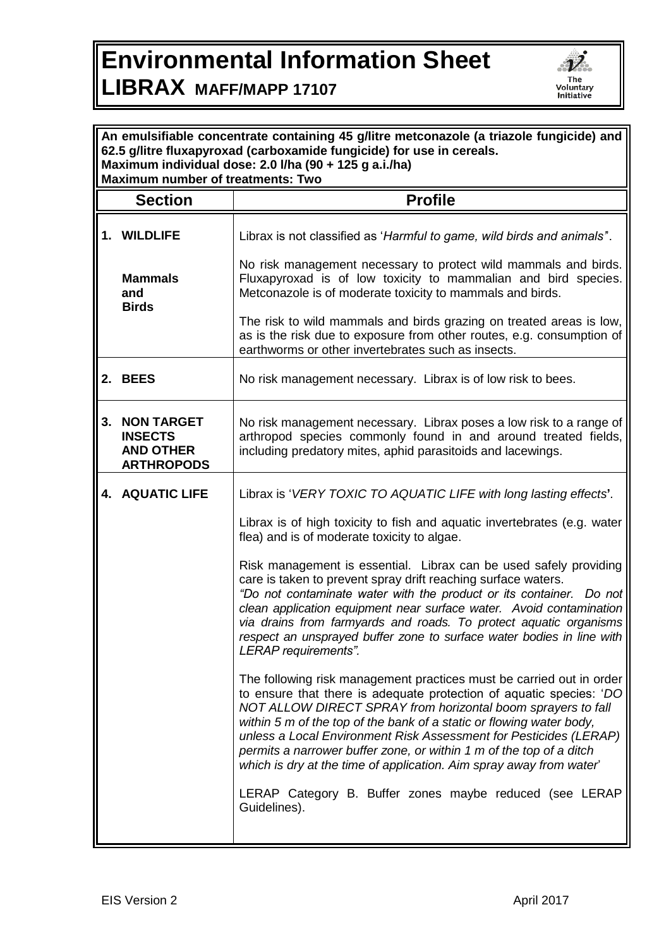## **Environmental Information Sheet**



## **LIBRAX MAFF/MAPP 17107**

| An emulsifiable concentrate containing 45 g/litre metconazole (a triazole fungicide) and<br>62.5 g/litre fluxapyroxad (carboxamide fungicide) for use in cereals.<br>Maximum individual dose: 2.0 I/ha (90 + 125 g a.i./ha)<br><b>Maximum number of treatments: Two</b> |                                                                          |                                                                                                                                                                                                                                                                                                                                                                                                                                                                                                        |
|-------------------------------------------------------------------------------------------------------------------------------------------------------------------------------------------------------------------------------------------------------------------------|--------------------------------------------------------------------------|--------------------------------------------------------------------------------------------------------------------------------------------------------------------------------------------------------------------------------------------------------------------------------------------------------------------------------------------------------------------------------------------------------------------------------------------------------------------------------------------------------|
|                                                                                                                                                                                                                                                                         | <b>Section</b>                                                           | <b>Profile</b>                                                                                                                                                                                                                                                                                                                                                                                                                                                                                         |
|                                                                                                                                                                                                                                                                         | 1. WILDLIFE                                                              | Librax is not classified as 'Harmful to game, wild birds and animals".                                                                                                                                                                                                                                                                                                                                                                                                                                 |
|                                                                                                                                                                                                                                                                         | <b>Mammals</b><br>and<br><b>Birds</b>                                    | No risk management necessary to protect wild mammals and birds.<br>Fluxapyroxad is of low toxicity to mammalian and bird species.<br>Metconazole is of moderate toxicity to mammals and birds.                                                                                                                                                                                                                                                                                                         |
|                                                                                                                                                                                                                                                                         |                                                                          | The risk to wild mammals and birds grazing on treated areas is low,<br>as is the risk due to exposure from other routes, e.g. consumption of<br>earthworms or other invertebrates such as insects.                                                                                                                                                                                                                                                                                                     |
|                                                                                                                                                                                                                                                                         | 2. BEES                                                                  | No risk management necessary. Librax is of low risk to bees.                                                                                                                                                                                                                                                                                                                                                                                                                                           |
|                                                                                                                                                                                                                                                                         | 3. NON TARGET<br><b>INSECTS</b><br><b>AND OTHER</b><br><b>ARTHROPODS</b> | No risk management necessary. Librax poses a low risk to a range of<br>arthropod species commonly found in and around treated fields,<br>including predatory mites, aphid parasitoids and lacewings.                                                                                                                                                                                                                                                                                                   |
|                                                                                                                                                                                                                                                                         | <b>4. AQUATIC LIFE</b>                                                   | Librax is 'VERY TOXIC TO AQUATIC LIFE with long lasting effects'.                                                                                                                                                                                                                                                                                                                                                                                                                                      |
|                                                                                                                                                                                                                                                                         |                                                                          | Librax is of high toxicity to fish and aquatic invertebrates (e.g. water<br>flea) and is of moderate toxicity to algae.                                                                                                                                                                                                                                                                                                                                                                                |
|                                                                                                                                                                                                                                                                         |                                                                          | Risk management is essential. Librax can be used safely providing<br>care is taken to prevent spray drift reaching surface waters.<br>"Do not contaminate water with the product or its container. Do not<br>clean application equipment near surface water. Avoid contamination<br>via drains from farmyards and roads. To protect aquatic organisms<br>respect an unsprayed buffer zone to surface water bodies in line with<br>LERAP requirements".                                                 |
|                                                                                                                                                                                                                                                                         |                                                                          | The following risk management practices must be carried out in order<br>to ensure that there is adequate protection of aquatic species: 'DO<br>NOT ALLOW DIRECT SPRAY from horizontal boom sprayers to fall<br>within 5 m of the top of the bank of a static or flowing water body,<br>unless a Local Environment Risk Assessment for Pesticides (LERAP)<br>permits a narrower buffer zone, or within 1 m of the top of a ditch<br>which is dry at the time of application. Aim spray away from water' |
|                                                                                                                                                                                                                                                                         |                                                                          | LERAP Category B. Buffer zones maybe reduced (see LERAP<br>Guidelines).                                                                                                                                                                                                                                                                                                                                                                                                                                |